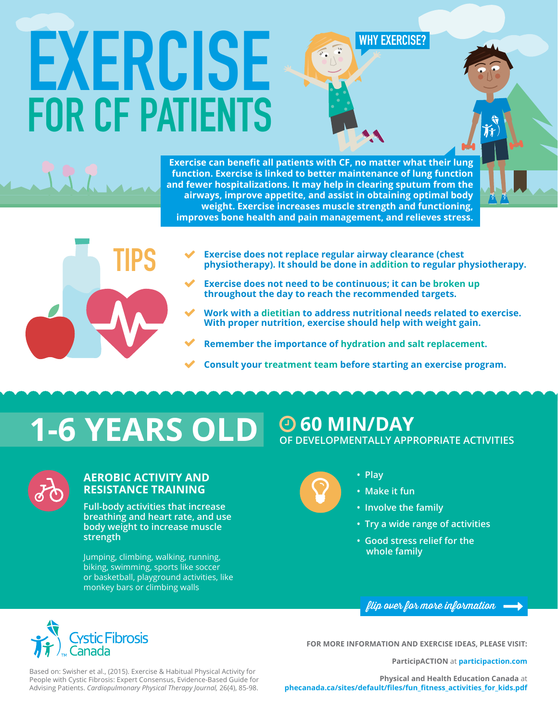### **WHY EXERCISE?**

# **EXERCISE FOR CF PATIENTS**

**Exercise can benefit all patients with CF, no matter what their lung function. Exercise is linked to better maintenance of lung function and fewer hospitalizations. It may help in clearing sputum from the airways, improve appetite, and assist in obtaining optimal body weight. Exercise increases muscle strength and functioning, improves bone health and pain management, and relieves stress.**



- **Exercise does not replace regular airway clearance (chest) physiotherapy). It should be done in addition to regular physiotherapy.**   $\checkmark$
- **Exercise does not need to be continuous; it can be broken up throughout the day to reach the recommended targets.**   $\checkmark$
- **Work with a dietitian to address nutritional needs related to exercise. With proper nutrition, exercise should help with weight gain.**   $\checkmark$
- **Remember the importance of hydration and salt replacement.**   $\checkmark$
- **Consult your treatment team before starting an exercise program.**  $\checkmark$



### **AEROBIC ACTIVITY AND RESISTANCE TRAINING**

**Full-body activities that increase breathing and heart rate, and use body weight to increase muscle strength**

Jumping, climbing, walking, running, biking, swimming, sports like soccer or basketball, playground activities, like monkey bars or climbing walls



**• Play** 

 $\mathbf{Q}$ 

- **Make it fun**
- **Involve the family**
- **Try a wide range of activities**
- **Good stress relief for the whole family**





**FOR MORE INFORMATION AND EXERCISE IDEAS, PLEASE VISIT:**

**ParticipACTION** at **participaction.com**

Based on: Swisher et al., (2015). Exercise & Habitual Physical Activity for People with Cystic Fibrosis: Expert Consensus, Evidence-Based Guide for Advising Patients. *Cardiopulmonary Physical Therapy Journal,* 26(4), 85-98.

**Physical and Health Education Canada** at **phecanada.ca/sites/default/files/fun\_fitness\_activities\_for\_kids.pdf**